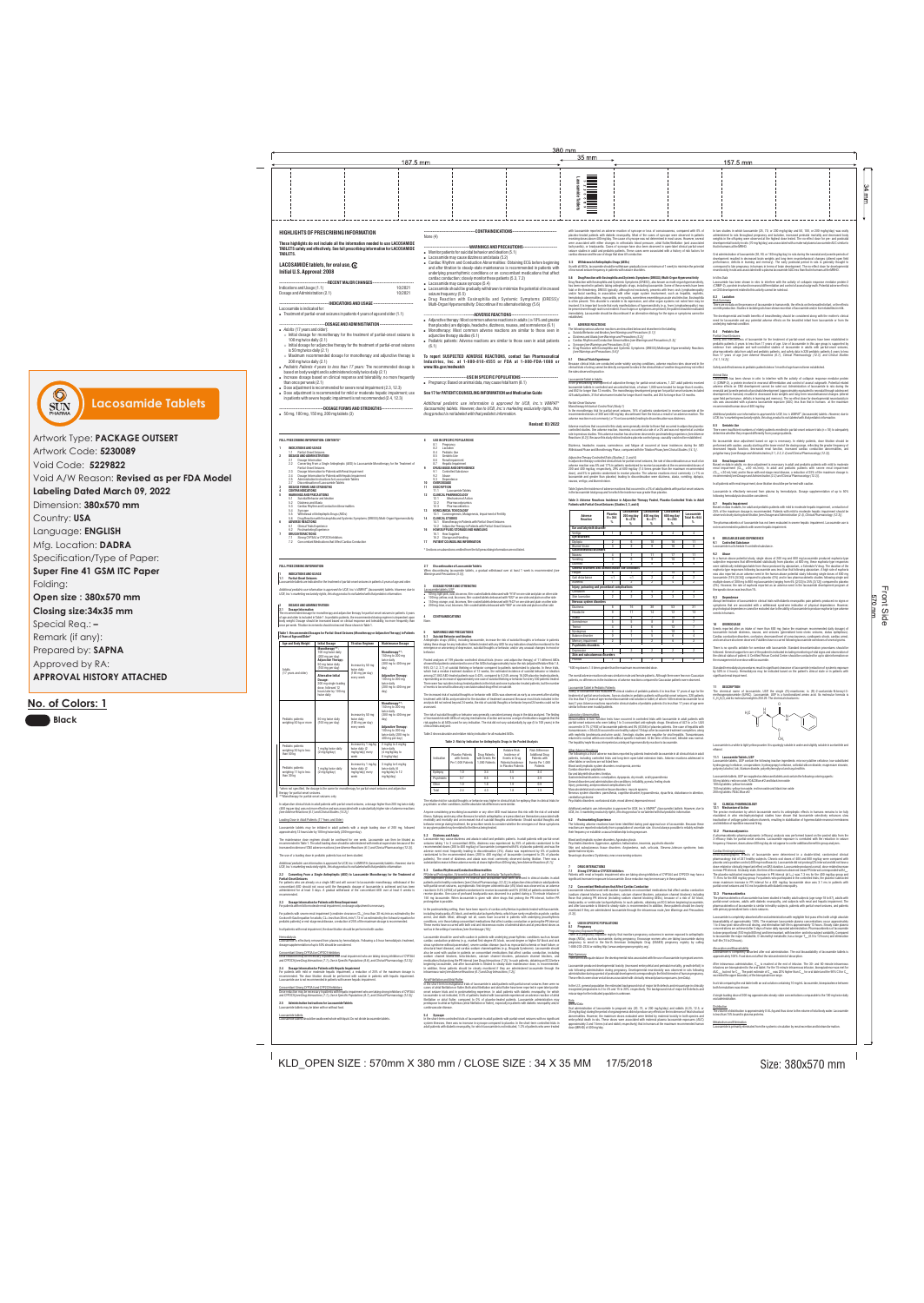Front Side

Side

Front  $025$ 

In all patients with renal impairment, dose titration should be performed with caution

**1.1 Partial-Onset Seizures** e tablets are indicated for the treatment of partial-onset seizures in patients 4 years of age and older.

**1 INDICATIONS AND USAGE** 

Additional pediatric use information is approved for UCB, Inc.'s VIMPAT® (lacosamide) tablets. However, due to<br>UCB, Inc.'s marketing exclusivity rights, this drug product is not labeled with that pediatric information.

**2.1 Dosage Information**   $\epsilon$  recommended dosage for monotherapy and adjunctive therapy for partial-onset seizures in patients 4 years

**2 DOSAGE AND ADMINISTRATION** 

of age and older is included in Table 1. In pediatric patients, the recommended dosing regimen is dependent upon body weight. Dosage should be increased based on clinical response and tolerability, no more frequently than once per week. Titration increments should not exceed those shown in Table 1.

# **Table 1: Recommended Dosages for Partial-Onset Seizures (Monotherapy or Adjunctive Therapy) in Patients**

# **4 Years of Age and Older\***

\*when not specified, the dosage is the same for monotherapy for partial-onset seizures and adjunctive therapy for partial-onset seizures.

# (400 mg per day) was not more effective and was associated with a substantially higher rate of adverse reactions<br>*[see Adverse Reactions (6.1) and Clinical Studies (14.2)]*.

In adjunctive clinical trials in adult patients with partial-onset seizures, a dosage higher than 200 mg twice daily

### Loading Dose in Adult Patients (17 Years and Older)

Lacosamide tablets may be initiated in adult patients with a single loading dose of 200 mg, followed approximately 12 hours later by 100 mg twice daily (200 mg per day).

The maintenance dose regimen should be continued for one week. Lacosamide can then be titrated as recommended in Table 1. The adult loading dose should be administered with medical supervision because of the increased incidence of CNS adverse reactions *[see Adverse Reactions (6.1) and Clinical Pharmacology (12.3)].*

The dose titration should be performed with caution in patients with hepatic impairmen Lacosamide use is not recommended in patients with severe hepatic impairment.

The use of a loading dose in pediatric patients has not been studied.

*Additional pediatric use information is approved for UCB, Inc.'s VIMPAT® (lacosamide) tablets. However, due to* 

*UCB, Inc.'s marketing exclusivity rights, this drug product is not labeled with that pediatric information.*

# **2.2 Converting From a Single Antiepileptic (AED) to Lacosamide Monotherapy for the Treatment of Partial-Onset Seizures**

For patients who are already on a single AED and will convert to lacosamide monotherapy, withdrawal of the recommended.

concomitant AED should not occur until the therapeutic dosage of lacosamide is achieved and has been administered for at least 3 days. A gradual withdrawal of the concomitant AED over at least 6 weeks is

For patients with severe renal impairment [creatinine clearance (CL<sub>ca</sub>) less than 30 mL/min as estimated by the<br>Cockcroft-Gault equation for adults; CL<sub>ca</sub> less than 30 mL/min/1.73 m<sup>2</sup> as estimated by the Schwartz equati

In all patients with renal impairment, the dose titration should be performed with caution

Antiepileptic drugs (AEDs), including lacosamide, increase the risk of suicidal thoughts or behavior in patients<br>taking these drugs for any indication. Patients treated with any AED for any indication should be monitored f emergence or worsening of depression, suicidal thoughts or behavior, and/or any unusual changes in mood or

Pooled analyses of 199 placebo-controlled clinical trials (mono- and adjunctive therapy) of 11 different AEDs showed that patients randomized to one of the AEDs had approximately twice the risk (adjusted Relative Risk 1.8, 95% CI:1.2, 2.7) of suicidal thinking or behavior compared to patients randomized to placebo. In these trials, which had a median treatment duration of 12 weeks, the estimated incidence of suicidal behavior or ideation among 27,863 AED-treated patients was 0.43%, compared to 0.24% among 16,029 placebo-treated patients, representing an increase of approximately one case of suicidal thinking or behavior for every 530 patients treated.<br>There were four suicides in drug-treated patients in the trials and none in placebo-treated patients, but

### **2.3 Dosage Information for Patients with Renal Impairment**  For patients with mild to moderate renal impairment, no dosage adjustment is necessary.

pediatric patients] or end-stage renal disease, a reduction of 25% of the maximum dosage is recommended.

### **Hemodialysis**

The risk of suicidal thoughts or behavior was generally consistent among drugs in the data analyzed. The finding of increased risk with AEDs of varying mechanisms of action and across a range of indications suggests that the<br>risk applies to all AEDs used for any indication. The risk did not vary substantially by age (5 to 100 years)

Lacosamide is effectively removed from plasma by hemodialysis. Following a 4-hour hemodialysis treatment, dosage supplementation of up to 50% should be considered.

Concomitant Strong CYP3A4 or CYP2C9 Inhibitors Dose reduction may be necessary in patients with renal impairment who are taking strong inhibitors of CYP3A4 and CYP2C9 *[see Drug Interactions (7.1), Use in Specific Populations (8.6), and Clinical Pharmacology (12.3)]*.

# **2.4 Dosage Information for Patients with Hepatic Impairment**

For patients with mild or moderate hepatic impairment, a reduction of 25% of the maximum dosage is

nyone considering prescribing lacosamide or any other AED must balance this risk with the risk of untreated illness. Epilepsy and many other illnesses for which antiepileptics are prescribed are themselves associated with morbidity and mortality and an increased risk of suicidal thoughts and behavior. Should suicidal thoughts and behavior emerge during treatment, the prescriber needs to consider whether the emergence of these symptoms

Concomitant Strong CYP3A4 and CYP2C9 Inhibitors Dose reduction may be necessary in patients with hepatic impairment who are taking strong inhibitors of CYP3A4 and CYP2C9 *[see Drug Interactions (7.1), Use in Specific Populations (8.7), and Clinical Pharmacology (12.3)]*.

**2.5 Administration Instructions for Lacosamide Tablets** Lacosamide tablets may be taken with or without food.

### Lacosamide tablets

Lacosamide tablets should be swallowed whole with liquid. Do not divide lacosamide tablets.

*Warnings and Precautions (5.5)]*.

**3 DOSAGE FORMS AND STRENGTHS** 

<u>PR Interval Prolongation, Atrioventricular Block, and Ventricular Tachyarrhythmia</u><br>Dose-dependent prolongations in PR interval with lacosamide have been observed in clinical studies in adult patients and in healthy volunteers [see *Clinical Pharmacology (12.2)*]. In adjunctive clinical trials in adult patients with partial-onset seizures, asymptomatic first-degree atrioventricular (AV) block was observed as an adverse reaction in 0.4% (4/944) of patients randomized to receive lacosamide and 0% (0/364) of patients randomized to receive placebo. One case of profound bradycardia was observed in a patient during a 15-minute infusion of 150 mg lacosamide. When lacosamide is given with other drugs that prolong the PR interval, further PR

Lacosamide tablets, USP

! 50 mg: light pink, oval, biconvex, film-coated tablets debossed with "918" on one side and plain on other side ! 100 mg: yellow, oval, biconvex, film-coated tablets debossed with "922" on one side and plain on other side ! 150 mg: orange, oval, biconvex, film-coated tablets debossed with "943" on one side and plain on other side ! 200 mg: blue, oval, biconvex, film-coated tablets debossed with "980" on one side and plain on other side

**4 CONTRAINDICATIONS** 

None.

**5 WARNINGS AND PRECAUTIONS 5.1 Suicidal Behavior and Ideation** 

behavior.

In the short-term controlled trials of lacosamide in adult patients with partial-onset seizures with no significant system illnesses, there was no increase in syncope compared to placebo. In the short-term controlled trials in<br>adult patients with diabetic neuropathy, for which lacosamide is not indicated, 1.2% of patients who were treat

of events is too small to allow any conclusion about drug effect on suicide.

The increased risk of suicidal thoughts or behavior with AEDs was observed as early as one week after starting treatment with AEDs and persisted for the duration of treatment assessed. Because most trials included in the analysis did not extend beyond 24 weeks, the risk of suicidal thoughts or behavior beyond 24 weeks could not be

### **Drug Reaction with Eosinophilia and Systemic Symptoms (DRESS)/Multi-Organ Hyperse** Drug Reaction with Eosinophilia and Systemic Symptoms (DRESS), also known as multi-organ hypersensitivity,

assessed.

clinical trials analyzed.

**Indication** 

Table 2 shows absolute and relative risk by indication for all evaluated AEDs.

**Table 2: Risk by Indication for Antiepileptic Drugs in the Pooled Analysis**

The relative risk for suicidal thoughts or behavior was higher in clinical trials for epilepsy than in clinical trials for

psychiatric or other conditions, but the absolute risk differences were similar.

in any given patient may be related to the illness being treated.

**5.2 Dizziness and Ataxia** 

Lacosamide may cause dizziness and ataxia in adult and pediatric patients. In adult patients with par tial-onset seizures taking 1 to 3 concomitant AEDs, dizziness was experienced by 25% of patients randomized to the<br>recommended doses (200 to 400 mg/day) of lacosamide (compared with 8% of placebo patients) and was the<br>adverse event m randomized to the recommended doses (200 to 400 mg/day) of lacosamide (compared to 2% of placebo patients). The onset of dizziness and ataxia was most commonly observed during titration. There was a substantial increase in these adverse events at doses higher than 400 mg/day *[see Adverse Reactions (6.1)].*

Table 3 gives the incidence of adverse reactions that occurred in  $\geq$  2% of adult patients with partial-onset seizure: in the lacosamide total group and for which the incidence was greater than placebo.

> \*600 mg dose is 1.5 times greater than the maximum recommended dose. Pruritus | 1 | 3 | 2 | 3 | 2

**5.3 Cardiac Rhythm and Conduction Abnormalities** 

prolongation is possible.

In the postmarketing setting, there have been reports of cardiac arrhythmias in patients treated with lacosamide, including bradycardia, AV block, and ventricular tachyarrhythmia, which have rarely resulted in asystole, cardiac<br>arrest, and death. Most, although not all, cases have occurred in patients with underlying proarrhythmic<br>con These events have occurred with both oral and intravenous routes of administration and at prescribed doses as

well as in the setting of overdose *[see Overdosage (10)]*.

The following adverse reactions have been identified during post-approval use of lacosamide. Because these<br>reactions are reported voluntarily from a population of uncertain size, it is not always possible to reliably estim their frequency or establish a causal relationship to drug exposure.

Lacosamide should be used with caution in patients with underlying proarrhythmic conditions such as known cardiac conduction problems (e.g., marked first-degree AV block, second-degree or higher AV block and sick sinus syndrome without pacemaker), severe cardiac disease (such as myocardial ischemia or heart failure, or structural heart disease), and cardiac sodium channelopathies (e.g., Brugada Syndrome). Lacosamide should also be used with caution in patients on concomitant medications that affect cardiac conduction, including sodium channel blockers, beta-blockers, calcium channel blockers, potassium channel blockers, and medications that prolong the PR interval *[see Drug Interactions (7.2)]*. In such patients, obtaining an ECG before beginning lacosamide, and after lacosamide is titrated to steady-state maintenance dose, is recommended. In addition, these patients should be closely monitored if they are administered lacosamide through the

intravenous route *[see Adverse Reactions (6.1) and Drug Interactions (7.2)].*

Atrial Fibrillation and Atrial Flutter

cardiovascular disease. **5.4 Syncope** 

In the short-term investigational trials of lacosamide in adult patients with partial-onset seizures there were no<br>cases of atrial fibrillation or flutter. Both atrial fibrillation and atrial flutter have been reported in onset seizure trials and in postmarketing experience. In adult patients with diabetic neuropathy, for which lacosamide is not indicated, 0.5% of patients treated with lacosamide experienced an adverse reaction of atrial fibrillation or atrial flutter, compared to 0% of placebo-treated patients. Lacosamide administration may predispose to atrial arrhythmias (atrial fibrillation or flutter), especially in patients with diabetic neuropathy and/or In the U.S. general population the estimated background risk of major birth defects and miscarriage in clinically recognized pregnancies is 2 to 4% and 15 to 20%, respectively. The background risk of major birth defects and miscarriage for the indicated population is unknown. <u>Data</u>

*In Vitro Data*<br>Lacosamide has been shown in vitro to interfere with the activity of collapsin response mediator protein-2 (CRMP-2), a protein involved in neuronal differentiation and control of axonal outgrowth. Potential adverse effects on CNS development related to this activity cannot be ruled out.

<u>Risk Summary</u><br>There are no data on the presence of lacosamide in human milk, the effects on the breastfed infant, or the effects on milk production. Studies in lactating rats have shown excretion of lacosamide and/or its metabolites in milk.

cardiac disease and the use of drugs that slow AV conduction. **5.5 Withdrawal of Antiepileptic Drugs (AEDs)** 

> <u>Partial-OnsetSeizures</u><br>Safety and effectiveness of lacosamide for the treatment of partial-onset seizures have been established in pediatric patients 4 years to less than 17 years of age. Use of lacosamide in this age group is supported by evidence from adequate and well-controlled studies of lacosamide in adults with partial-onset seizures, pharmacokinetic data from adult and pediatric patients, and safety data in 328 pediatric patients 4 years to less than 17 years of age *[see Adverse Reactions (6.1), Clinical Pharmacology (12.3), and Clinical Studies (14.1, 14.2)]*.

As with all AEDs, lacosamide should be withdrawn gradually (over a minimum of 1 week) to minimize the potential

of increased seizure frequency in patients with seizure disorders.

has been reported in patients taking antiepileptic drugs, including lacosamide. Some of these events have been fatal or life-threatening. DRESS typically, although not exclusively, presents with fever, rash, lymphadenopathy

> No lacosamide dose adjustment based on age is necessary. In elderly patients, dose titration should be performed with caution, usually starting at the lower end of the dosing range, reflecting the greater frequency of<br>decreased hepatic function, decreased renal function, increased cardiac conduction abnormalities, polypharmacy *[see Dosage and Administration (2.1, 2.3, 2.4) and Clinical Pharmacology (12.3)].* **8.6 Renal Impairment**

Based on data in adults, no dose adjustment is necessary in adult and pediatric patients with mild to moderate<br>renal impairment (CL<sub>cn</sub> ≥30 mL/min). In adult and pediatric patients with severe renal impairmen  $(CL<sub>CR</sub> < 30$  mL/min) and in those with end-stage renal disease, a reduction of 25% of the maximum dosage is recommended *[see Dosage and Administration (2.3) and Clinical Pharmacology (12.3)].*

involved. It is important to note that early manifestations of hypersensitivity (e.g., fever, lymphadenopathy) may be present even though rash is not evident. If such signs or symptoms are present, the patient should be evaluated immediately. Lacosamide should be discontinued if an alternative etiology for the signs or symptoms cannot be

established.

**6 ADVERSE REACTIONS** 

The following serious adverse reactions are described below and elsewhere in the labeling: ! Suicidal Behavior and Ideation *[see Warnings and Precautions (5.1)]* 

! Cardiac Rhythm and Conduction Abnormalities *[see Warnings and Precautions (5.3)]* 

 $z$ iness and Ataxia *[see Warnings and Precautions (5.2)]* 

In adjunctive therapy controlled clinical trials for partial-onset seizures, the rate of discontinuation as a result of an<br>adverse reaction was 8% and 17% in patients randomized to receive lacosamide at the recommended dos 200 and 400 mg/day, respectively, 29% at 600 mg/day (1.5 times greater than the maximum recommended dose), and 5% in patients randomized to receive placebo. The adverse reactions most commonly (>1% on lacosamide and greater than placebo) leading to discontinuation were dizziness, ataxia, vomiting, diplopia, nausea, vertigo, and blurred visio

! Syncope *[see Warnings and Precautions (5.4)]*  ! Drug Reaction with Eosinophilia and Systemic Symptoms (DRESS)/Multiorgan Hypersensitivity Reactions

Because clinical trials are conducted under widely varying conditions, adverse reaction rates observed in the<br>clinical trials of a drug cannot be directly compared to rates in the clinical trials of another drug and may no

*[see Warnings and Precautions (5.6)]* 

**6.1 Clinical Trials Experience**

the rates observed in practice. Lacosamide Tablet in Adults

> Events reported after an intake of more than 800 mg (twice the maximum recommended daily dosage) of lacosamide include dizziness, nausea, and seizures (generalized tonic-clonic seizures, status epilepticus). Cardiac conduction disorders, confusion, decreased level of consciousness, cardiogenic shock, cardiac arrest, and coma have also been observed. Fatalities have occurred following lacosamide overdoses of several grams. There is no specific antidote for overdose with lacosamide. Standard decontamination procedures should be followed. General supportive care of the patient is indicated including monitoring of vital signs and observation of<br>the clinical status of patient. A Certified Poison Control Center should be contacted for up to date info

In the premarketing development of adjunctive therapy for partial-onset seizures, 1,327 adult patients received lacosamide tablets in controlled and uncontrolled trials, of whom 1,000 were treated for longer than 6 months, and 852 for longer than 12 months. The monotherapy development program for partial-onset seizures included 425 adult patients, 310 of whom were treated for longer than 6 months, and 254 for longer than 12 months.

*Monotherapy Historical-Control Trial (Study 1)* 

In the monotherapy trial for partial-onset seizures, 16% of patients randomized to receive lacosamide at the recommended doses of 300 and 400 mg/day discontinued from the trial as a result of an adverse reaction. The

adverse reaction most commonly (≥1% on lacosamide) leading to discontinuation was dizziness.

### Adverse reactions that occurred in this study were generally similar to those that occurred in adjunctive placebocontrolled studies. One adverse reaction, insomnia, occurred at a rate of ≥2% and was not reported at a similar rate in previous studies. This adverse reaction has also been observed in postmarketing experience *[see Adverse Reactions (6.2)].* Because this study did not include a placebo control group, causality could not be established.

**Partial-Onset Seizure** 

and inhibition of repetitive neuronal firing. 12.2 Pharmacodynamics

Dizziness, headache, nausea, somnolence, and fatigue all occurred at lower incidences during the AED Withdrawal Phase and Monotherapy Phase, compared with the Titration Phase *[see Clinical Studies (14.1)]*.

# *Adjunctive Therapy Controlled Trials (Studies 2, 3, and 4)*

**12.3 Pharmacokinetics**<br>The pharmacokinetics of lacosamide has been studied in healthy adult subjects (age range 18 to 87), adults with partial-onset seizures, adults with diabetic neuropathy, and subjects with renal and hepatic impairment. The pharmacokinetics of lacosamide is similar in healthy subjects, patients with partial-onset seizures, and patients

Lacosamide is completely absorbed after oral administration with negligible first-pass effect with a high absolute bioavailability of approximately 100%. The maximum lacosamide plasma concentrations occur approximately 1 to 4 hour post-dose after oral dosing, and elimination half-life is approximately 13 hours. Steady state plasma concentrations are achieved after 3 days of twice daily repeated administration. Pharmacokinetics of lacosamide is dose proportional (100 mg to 800 mg) and time invariant, with low inter- and intra-subject variability. Compared  $\cos$ amide the major metabolite, O-desmethyl metabolite, has a longer T $_{\rm max}$  (0.5 to 12 hours) and elimination

**Lacosamide is completely absorbed after oral administration. The oral bioavailability of lacosamide tablets is** 

After intravenous administration, C<sub>im</sub> is reached at the end of infusion. The 30- and 60-minute intravenous infusions are bioequivalent to the oral tablet. For the 15-minute intravenous infusion, bioequivalence was met for<br>AUC<sub>(est)</sub> but not for C<sub>max</sub>. The point estimate of C<sub>max</sub> was 20% higher than C<sub>max</sub> for oral tablet and

# **Table 3: Adverse Reactions Incidence in Adjunctive Therapy Pooled, Placebo-Controlled Trials in Adult Patients with Partial-Onset Seizures (Studies 2, 3, and 4)**

The overall adverse reaction rate was similar in male and female patients. Although there were few non-Caucasian patients, no differences in the incidences of adverse reactions compared to Caucasian patients were observed.

amide Tablet in Pediatric Patients

In a trial comparing the oral tablet with an oral solution containing 10 mg/mL lacosamide, bioequivalence betwee both formulations was shown.

A single loading dose of 200 mg approximates steady-state concentrations comparable to the 100 mg twice dai oral administration.

Distribution<br>The volume of distribution is approximately 0.6 L/kg and thus close to the volume of total body water. Lacosamide is less than 15% bound to plasma proteins.

Metabolism and Elimination Lacosamide is primarily eliminated from the systemic circulation by renal excretion and biotransformat

# KLD\_OPEN SIZE : 570mm X 380 mm / CLOSE SIZE : 34 X 35 MM 17/5/2018 Size: 380x570 mm



Safety of lacosamide was evaluated in clinical studies of pediatric patients 4 to less than 17 years of age for the treatment of partial-onset seizures. Across studies in pediatric patients with partial-onset seizures, 328 patients 4 to less than 17 years of age received lacosamide oral solution or tablet, of whom 148 received lacosamide for at least 1 year. Adverse reactions reported in clinical studies of pediatric patients 4 to less than 17 years of age were similar to those seen in adult patients.

with lacosamide reported an adverse reaction of syncope or loss of consciousness, compared with 0% of placebo-treated patients with diabetic neuropathy. Most of the cases of syncope were observed in patients receiving doses above 400 mg/day. The cause of syncope was not determined in most cases. However, several were associated with either changes in orthostatic blood pressure, atrial flutter/fibrillation (and associated tachycardia), or bradycardia. Cases of syncope have also been observed in open-label clinical partial-onset seizure studies in adult and pediatric patients. These cases were associated with a history of risk factors for In two studies in which lacosamide (25, 70, or 200 mg/kg/day and 50, 100, or 200 mg/kg/day) was orally administered to rats throughout pregnancy and lactation, increased perinatal mortality and decreased body weights in the offspring were observed at the highest dose tested. The no-effect dose for pre- and postnatal developmental toxicity in rats (70 mg/kg/day) was associated with a maternal plasma lacosamide AUC similar to that in humans at the MRHD.

### Laboratory Abnormalities

Lacosamide is indicated for:  $\bullet$  Treatment of partial-onset seizures in patients 4 years of age and older (1.1)

> Abnormalities in liver function tests have occurred in controlled trials with lacosamide in adult patients with partial-onset seizures who were taking 1 to 3 concomitant anti-epileptic drugs. Elevations of ALT to  $\geq 3 \times U$ LN occurred in 0.7% (7/935) of lacosamide patients and 0% (0/356) of placebo patients. One case of hepatitis with transaminases >20x ULN occurred in one healthy subject 10 days after lacosamide treatment completion, along with nephritis (proteinuria and urine casts). Serologic studies were negative for viral hepatitis. Transaminase returned to normal within one month without specific treatment. At the time of this event, bilirubin was normal. The hepatitis/nephritis was interpreted as a delayed hypersensitivity reaction to lacosamide.

### Other Adverse Reactions

### and/or facial swelling, in association with other organ system involvement, such as hepatitis, nephritis, ematologic abnormalities, myocarditis, or myositis, sometimes resembling an acute viral infection. Eosinophilia is often present. This disorder is variable in its expression, and other organ systems not noted here may be **8.2 Lactation**

- Lacosamide may cause dizziness and ataxia (5.2) • Cardiac Rhythm and Conduction Abnormalities: Obtaining ECG before beginning and after titration to steady-state maintenance is recommended in patients with
- underlying proarrhythmic conditions or on concomitant medications that affect cardiac conduction; closely monitor these patients (5.3, 7.2)  $\bullet$  Lacosamide may cause syncope (5.4)
- . Lacosamide should be gradually withdrawn to minimize the potential of increased seizure frequency (5.5)
- . Drug Reaction with Eosinophilia and Systemic Symptoms (DRESS)/ Multi-Organ Hypersensitivity: Discontinue if no alternate etiology (5.6)

### ---ADVERSE REACTIONS---

- Adjunctive therapy: Most common adverse reactions in adults (≥10% and greater
- than placebo) are diplopia, headache, dizziness, nausea, and somnolence (6.1) ! Monotherapy: Most common adverse reactions are similar to those seen in
- adjunctive therapy studies (6.1) Pediatric patients: Adverse reactions are similar to those seen in adult patients
- (6.1)

The following is a list of adverse reactions reported by patients treated with lacosamide in all clinical trials in adult patients, including controlled trials and long-term open-label extension trials. Adverse reactions addressed in other tables or sections are not listed here. Blood and lymphatic system disorders: neutropenia, anemia Cardiac disorders: palpitations Ear and labyrinth disorders: tinnitus Gastrointestinal disorders: constipation, dyspepsia, dry mouth, oral hypoaesthesia General disorders and administration site conditions: irritability, pyrexia, feeling drunk Injury, poisoning, and procedural complications: fall Musculoskeletal and connective tissue disorders: muscle spasms Nervous system disorders: paresthesia, cognitive disorder, hypoaesthesia, dysarthria, disturbance in attention, cerebellar syndrome Psychiatric disorders: confusional state, mood altered, depressed mood *® Additional pediatric use information is approved for UCB, Inc.'s VIMPAT (lacosamide) tablets. However, due to* 

*UCB, Inc.'s marketing exclusivity rights, this drug product is not labeled with that pediatric information.*

### **6.2 Postmarketing Experience**

- --DOSAGE AND ADMINISTRATION --! *Adults* (17 years and older):
- $\circ$  Initial dosage for monotherapy for the treatment of partial-onset seizures is 100 mg twice daily (2.1)
- $\circ$  Initial dosage for adjunctive therapy for the treatment of partial-onset seizures
- is 50 mg twice daily (2.1) o Maximum recommended dosage for monotherapy and adjunctive therapy is 200 mg twice daily (2.1)
- ! *Pediatric Patients 4 years to less than 17 years:* The recommended dosage is
- based on body weight and is administered orally twice daily (2.1) • Increase dosage based on clinical response and tolerability, no more frequently
- than once per week (2.1) • Dose adjustment is recommended for severe renal impairment (2.3, 12.3)
- Dose adjustment is recommended for mild or moderate hepatic impairment; use in patients with severe hepatic impairment is not recommended (2.4, 12.3)
- -DOSAGE FORMS AND STRENGTHS- $\bullet$  50 mg, 100 mg, 150 mg, 200 mg tablets (3)
- **FULL PRESCRIBING INFORMATION: CONTENTS 1 INDICATIONS AND USAGE**  1.1 Partial-Onset Seizures **2 DOSAGE AND ADMINISTRATION**  Dosage Information 2.2 Converting From a Single Antiepileptic (AED) to Lacosamide Monotherapy for the Treatment of Partial-Onset Seizures 2.3 Dosage Information for Patients with Renal Impairment **8 USE IN SPECIFIC POPULATIONS**  Pregnancy 8.2 Lactation<br>8.4 Pediatric I<br>8.5 Geriatric I Pediatric Use 8.5 Geriatric Use<br>8.6 Benal Imnairr Renal Impairment Hepatic Impairment **9 DRUG ABUSE AND DEPENDENCE**  Controlled Substance 9.2 Abuse
	- 2.4 Dosage Information for Patients with Hepatic Impairment Administration Instructions for Lacosamide Tablets 2.7 Discontinuation of Lacosamide Tablets **3 DOSAGE FORMS AND STRENGTHS**  9.3 Dependence **10 OVERDOSAGE**

--CONTRAINDICATIONS--

--WARNINGS AND PRECAUTIONS--- $\bullet$  Monitor patients for suicidal behavior and ideation (5.1)

### **FULL PRESCRIBING INFORMATION 2.7 Discontinuation of Lacosamide Tablets**  When discontinuing lacosamide tablets, a gradual withdrawal over at least 1 week is recommended *[see*  **4 CONTRAINDICATIONS 5 WARNINGS AND PRECAUTIONS**  Suicidal Behavior and Ideatio Dizziness and Ataxia 5.3 Cardiac Rhythm and Conduction Abnormalities 5.4 Syncope 5.5 Withdrawal of Antiepileptic Drugs (AEDs) 5.6 Drug Reaction with Eosinophilia and Systemic Symptoms (DRESS)/Multi-Organ Hypersensitivity **6 ADVERSE REACTIONS**  6.1 Clinical Trials Experienc **Postmarketing Experience 7 DRUG INTERACTIONS**  7.1 Strong CYP3A4 or CYP2C9 Inhibitors 7.2 Concomitant Medications that Affect Cardiac Conduction **11 DESCRIPTION**  11.1 Lacosamide Tablets **12 CLINICAL PHARMACOLOGY**  12.1 Mechanism of Action 12.2 Pharmacodynamics 12.3 Pharmacokinetics **13 NONCLINICAL TOXICOLOGY 14 CLINICAL STUDIES**

Blood and lymphatic system disorders: Agranulocytosis Psychiatric disorders: Aggression, agitation, hallucination, insomnia, psychotic disorder Skin and subcutaneous tissue disorders: Angioedema, rash, urticaria, Stevens-Johnson syndrome, toxic epidermal necrolysis. Neurologic disorders: Dyskinesia, new or worsening seizures

**7 DRUG INTERACTIONS 7.1 Strong CYP3A4 or CYP2C9 Inhibitors** 

Patients with renal or hepatic impairment who are taking strong inhibitors of CYP3A4 and CYP2C9 may have a significant increase in exposure to lacosamide. Dose reduction may be necessary in these patients.

### **7.2 Concomitant Medications that Affect Cardiac Conduction**

Lacosamide should be used with caution in patients on concomitant medications that affect cardiac conduction (sodium channel blockers, beta-blockers, calcium channel blockers, potassium channel blockers) including those that prolong PR interval (including sodium channel blocking AEDs), because of a risk of AV block, bradycardia, or ventricular tachyarrhythmia. In such patients, obtaining an ECG before beginning lacosamide, and after lacosamide is titrated to steady-state, is recommended. In addition, these patients should be closely monitored if they are administered lacosamide through the intravenous route *[see Warnings and Precautions (5.3)].*

# **8 USE IN SPECIFIC POPULATIONS**

**8.1 Pregnancy** 

### Pregnancy Exposure Registry There is a pregnancy exposure registry that monitors pregnancy outcomes in women exposed to antiepileptic drugs (AEDs), such as lacosamide, during pregnancy. Encourage women who are taking lacosamide during pregnancy to enroll in the North American Antiepileptic Drug (NAAED) pregnancy registry by calling 1-888-233-2334 or visiting http://www.aedpregnancyregistry.org/.

Drug Patien with Events Per

Relative Risk: Incidence of Events in Drug atients/Incider i Placebo Patients

**Risk Difference** Additional Drug Patients with Events Per 1,000 Patients

Risk Summary

### There are no adequate data on the developmental risks associated with the use of lacosamide in pregnant women. Lacosamide produced developmental toxicity (increased embryofetal and perinatal mortality, growth deficit) in rats following administration during pregnancy. Developmental neurotoxicity was observed in rats following

histration during a period of postnatal development corresponding to the third trimester of human pregnanc

These effects were observed at doses associated with clinically relevant plasma exposures *(see Data)*.

*Animal Data*

Oral administration of lacosamide to pregnant rats (20, 75, or 200 mg/kg/day) and rabbits (6.25, 12.5, or 25 mg/kg/day) during the period of organogenesis did not produce any effects on the incidences of fetal structural abnormalities. However, the maximum doses evaluated were limited by maternal toxicity in both species and embryofetal death in rats. These doses were associated with maternal plasma lacosamide exposures (AUC) approximately 2 and 1 times (rat and rabbit, respectively) that in humans at the maximum recommended human dose (MRHD) of 400 mg/day.

Oral administration of lacosamide (30, 90, or 180 mg/kg/day) to rats during the neonatal and juvenile periods of development resulted in decreased brain weights and long-term neurobehavioral changes (altered open field performance, deficits in learning and memory). The early postnatal period in rats is generally thought to correspond to late pregnancy in humans in terms of brain development. The no-effect dose for developmental neurotoxicity in rats was associated with a plasma lacosamide AUC less than that in humans at the MRHD.

The developmental and health benefits of breastfeeding should be considered along with the mother's clinical need for lacosamide and any potential adverse effects on the breastfed infant from lacosamide or from the underlying maternal condition.

### **8.4 Pediatric Use**

Safety and effectiveness in pediatric patients below 1 month of age have not been established.

### Animal Data

mide has been shown *in vitro* to interfere with the activity of collapsin response mediator protein -2 (CRMP-2), a protein involved in neuronal differentiation and control of axonal outgrowth. Potential related adverse effects on CNS development cannot be ruled out. Administration of lacosamide to rats during the neonatal and juvenile periods of postnatal development (approximately equivalent to neonatal through adolescent development in humans) resulted in decreased brain weights and long-term neurobehavioral changes (altered open field performance, deficits in learning and memory). The no-effect dose for developmental  $\mathsf n$ rats was associated with a plasma lacosamide exposure (AUC) less than that in humans at the maximum rended human dose of 400 mg/day

*® Additional pediatric use information is approved for UCB, Inc.'s VIMPAT (lacosamide) tablets. However, due to UCB, Inc.'s marketing exclusivity rights, this drug product is not labeled with that pediatric information.*

**8.5 Geriatric Use**  There were insufficient numbers of elderly patients enrolled in partial-onset seizure trials (n=18) to adequately determine whether they respond differently from younger patients.

Lacosamide is effectively removed from plasma by hemodialysis. Dosage supplementation of up to 50%

following hemodialysis should be considered.

**8.7 Hepatic Impairment**  Based on data in adults, for adult and pediatric patients with mild to moderate hepatic impairment, a reduction of 25% of the maximum dosage is recommended. Patients with mild to moderate hepatic impairment should be rved closely during dose titration *[see Dosage and Administration (2.4), Clinical Pharmacology (12.3)]*. The pharmacokinetics of lacosamide has not been evaluated in severe hepatic impairment. Lacosamide use is

not recommended in patients with severe hepatic impairment.

**9 DRUG ABUSE AND DEPENDENCE** 

Lacosamide is a Schedule V controlled substance.

**9.1 Controlled Substance** 

**9.2 Abuse** 

In a human abuse potential study, single doses of 200 mg and 800 mg lacosamide produced euphoria-type subjective responses that differentiated statistically from placebo; at 800 mg, these euphoria-type responses were statistically indistinguishable from those produced by alprazolam, a Schedule IV drug. The duration of the euphoria-type responses following lacosamide was less than that following alprazolam. A high rate of euphoria was also reported as an adverse event in the human abuse potential study following single doses of 800 mg lacosamide (15% [5/34]) compared to placebo (0%) and in two pharmacokinetic studies following single and multiple doses of 300 mg to 800 mg lacosamide (ranging from 6% [2/33] to 25% [3/12]) compared to placebo (0%). However, the rate of euphoria reported as an adverse event in the lacosamide development program at

therapeutic doses was less than 1%.

**9.3 Dependence**  Abrupt termination of lacosamide in clinical trials with diabetic neuropathic pain patients produced no signs or symptoms that are associated with a withdrawal syndrome indicative of physical dependence. However, psychological dependence cannot be excluded due to the ability of lacosamide to produce euphoria-type adverse

**10 OVERDOSAGE** 

the management of overdose with lacosamide.

 $C_{13}H_{18}N_2O_3$  and its molecular weight is 250.29. The chemical structure is:

Standard hemodialysis procedures result in significant clearance of lacosamide (reduction of systemic exposure by 50% in 4 hours). Hemodialysis may be indicated based on the patient's clinical state or in patients with

significant renal impairment.

**11 DESCRIPTION** 

The chemical name of lacosamide, USP, the single (R)-enantiomer, is (R)-2-acetamido-N-benzyl-3- methoxypropionamide (IUPAC). Lacosamide, USP is a functionalized amino acid. Its molecular formula is

 $\overline{0}$ 

Lacosamide is a white to light yellow powder. It is sparingly soluble in water and slightly soluble in acetonitrile and

CH,

ethanol.

**11.1 Lacosamide Tablets, USP** 

Lacosamide tablets, USP contain the following inactive ingredients: microcrystalline cellulose, low substituted hydroxypropyl cellulose, crospovidone, hydroxypropyl cellulose, colloidal silicon dioxide, magnesium stearate,

polyvinyl alcohol, talc, titanium dioxide, polyethylene glycol and soya lecithin.

0 mg tablets: red iron oxide, FD&C Blue  $\#2$  and black iron oxid

Lacosamide tablets, USP are supplied as debossed tablets and contain the following coloring agents:

100 mg tablets: yellow iron oxide

150 mg tablets: yellow iron oxide, red iron oxide and black iron oxide 200 mg tablets: FD&C Blue #2

**12 CLINICAL PHARMACOLOGY** 

**12.1 Mechanism of Action**  The precise mechanism by which lacosamide exerts its antiepileptic effects in humans remains to be fully elucidated. *In vitro* electrophysiological studies have shown that lacosamide selectively enhances slow inactivation of voltage-gated sodium channels, resulting in stabilization of hyperexcitable neuronal membranes

A pharmacokinetic-pharmacodynamic (efficacy) analysis was performed based on the pooled data from the 3 efficacy trials for partial-onset seizures. Lacosamide exposure is correlated with the reduction in seizure frequency. However, doses above 400 mg/day do not appear to confer additional benefit in group analyses.

Cardiac Electrophysiology

Electrocardiographic effects of lacosamide were determined in a double-blind, randomized clinical pharmacology trial of 247 healthy subjects. Chronic oral doses of 400 and 800 mg/day were compared with placebo and a positive control (400 mg moxifloxacin). Lacosamide did not prolong QTc interval and did not have a dose-related or clinically important effect on QRS duration. Lacosamide produced a small, dose-related increase in mean PR interval. At steady-state, the time of the maximum observed mean PR interval corresponded with t<sub>max</sub><br>In mean PR interval. At steady-state, the time of the maximum observed mean PR interval corresponded with t<sub>m</sub> The placebo-subtracted maximum increase in PR interval (at  $t_{\text{max}}$ ) was 7.3 ms for the 400 mg/day group and 11.9 ms for the 800 mg/day group. For patients who participated in the controlled trials, the placebo-subtracted mean maximum increase in PR interval for a 400 mg/day lacosamide dose was 3.1 ms in patients with

partial-onset seizures and 9.4 ms for patients with diabetic neuropathy.

with primary generalized tonic-clonic seizures.

half-life (15 to 23 hours). Absorption and Bioavailability

vents in humans.

exceeded the upper boundary of the bioequivalence range.

primately 100%. Food does not affect the rate and extent of absorption.

### **HIGHLIGHTS OF PRESCRIBING INFORMATION**

**These highlights do not include all the information needed to use LACOSAMIDE TABLETS safely and effectively. See full prescribing information for LACOSAMIDE TABLETS.** 

### **LACOSAMIDE tablets, for oral use, Initial U.S. Approval: 2008**

| -------------------------------RECENT MAJOR CHANGES----------------------------- |                    |
|----------------------------------------------------------------------------------|--------------------|
| Indications and Usage (1.1)<br>Dosage and Administration (2.1)                   | 10/2021<br>10/2021 |

-INDICATIONS AND USAGE -

None (4)

### **To report SUSPECTED ADVERSE REACTIONS, contact Sun Pharmaceutical Industries, Inc. at 1-800-818-4555 or FDA at 1-800-FDA-1088 or www.fda.gov/medwatch**

---USE IN SPECIFIC POPULATIONS **-** $\bullet$  Pregnancy: Based on animal data, may cause fetal harm (8.1)

# **See 17 for PATIENT COUNSELING INFORMATION and Medication Guide**

*® Additional pediatric use information is approved for UCB, Inc.'s VIMPAT (lacosamide) tablets. However, due to UCB, Inc.'s marketing exclusivity rights, this drug product is not labeled with that pediatric information.*

### **Revised: 03/2022**

- 13.1 Carcinogenesis, Mutagenesis, Impairment of Fertility
- 14.1 Monotherapy in Patients with Partial-Onset Seizures 14.2 Adjunctive Therapy in Patients with Partial-Onset Seizures
- **16 HOW SUPPLIED/STORAGE AND HANDLING**  16.1 How Supplied
- 16.2 Storage and Handling **17 PATIENT COUNSELING INFORMATION**

\* Sections or subsections omitted from the full prescribing information are not listed.

| Monotherapy**:<br>100 mg twice daily<br>(200 mg per day)<br><b>Adjunctive Therapy:</b><br>50 mg twice daily<br>(100 mg per day)<br>ts          | Increase by 50 mg<br>twice daily                                             | Monotherapy**:<br>150 mg to 200 mg<br>twice daily<br>(300 mg to 400 mg per<br>day)                                                                                                |
|------------------------------------------------------------------------------------------------------------------------------------------------|------------------------------------------------------------------------------|-----------------------------------------------------------------------------------------------------------------------------------------------------------------------------------|
| ears and older)<br><b>Alternative Initial</b><br>Dosage:<br>200 mg single loading<br>dose, followed 12<br>hours later by 100 mg<br>twice daily | (100 mg per day)<br>every week                                               | <b>Adjunctive Therapy:</b><br>100 mg to 200 mg<br>twice daily<br>(200 mg to 400 mg per<br>day)                                                                                    |
| atric patients<br>50 mg twice daily<br>hing 50 kg or more<br>$(100 \text{ mg per day})$                                                        | Increase by 50 mg<br>twice daily<br>$(100 \text{ mg per day})$<br>every week | Monotherapy**:<br>150 mg to 200 mg<br>twice daily<br>(300 mg to 400 mg per<br>day)<br><b>Adjunctive Therapy:</b><br>100 mg to 200 mg<br>twice daily (200 mg to<br>400 mg per day) |
| atric patients<br>1 mg/kg twice daily<br>hing 30 kg to less<br>(2 mg/kg/day)<br>50 kg                                                          | Increase by 1 mg/kg<br>twice daily (2<br>mg/kg/day) every<br>week            | 2 mg/kg to 4 mg/kg<br>twice daily<br>(4 mg/kg/day to<br>8 mg/kg/day)                                                                                                              |
| atric patients<br>1 mg/kg twice daily<br>hing 11 kg to less<br>(2 mg/kg/day)<br>30 kg                                                          | Increase by 1 mg/kg<br>twice daily (2<br>mg/kg/day) every<br>week            | 3 mg/kg to 6 mg/kg<br>twice daily (6<br>mg/kg/day to 12<br>mg/kg/day)                                                                                                             |

| <b>Age and Body Weight</b>                                 | <b>Initial Dosage</b>                                                                                                                     | <b>Titration Regimen</b>                                                                                                                   | <b>Maintenance Dosage</b>                                                                                                                                                         |
|------------------------------------------------------------|-------------------------------------------------------------------------------------------------------------------------------------------|--------------------------------------------------------------------------------------------------------------------------------------------|-----------------------------------------------------------------------------------------------------------------------------------------------------------------------------------|
| Adults                                                     | Monotherapy**:<br>100 mg twice daily<br>(200 mg per day)<br><b>Adjunctive Therapy:</b><br>50 mg twice daily<br>$(100 \text{ mg per day})$ | Increase by 50 mg<br>twice daily                                                                                                           | Monotherapy**:<br>150 mg to 200 mg<br>twice daily<br>(300 mg to 400 mg per<br>day)                                                                                                |
| (17 years and older)                                       | <b>Alternative Initial</b><br>Dosage:<br>200 mg single loading<br>dose, followed 12<br>hours later by 100 mg<br>twice daily               | $(100 \text{ mg per day})$<br><b>Adjunctive Therapy:</b><br>every week<br>100 mg to 200 mg<br>twice daily<br>(200 mg to 400 mg per<br>dav) |                                                                                                                                                                                   |
| Pediatric patients<br>weighing 50 kg or more               | 50 mg twice daily<br>(100 mg per day)                                                                                                     | Increase by 50 mg<br>twice daily<br>(100 mg per day)<br>every week                                                                         | Monotherapy**:<br>150 mg to 200 mg<br>twice daily<br>(300 mg to 400 mg per<br>day)<br><b>Adjunctive Therapy:</b><br>100 mg to 200 mg<br>twice daily (200 mg to<br>400 mg per day) |
| Pediatric patients<br>weighing 30 kg to less<br>than 50 kg | 1 mg/kg twice daily<br>(2 mg/kg/day)                                                                                                      | Increase by 1 mg/kg<br>twice daily (2)<br>mg/kg/day) every<br>week                                                                         | 2 mg/kg to 4 mg/kg<br>twice daily<br>(4 mg/kg/day to<br>8 mg/kg/day)                                                                                                              |
| Pediatric patients<br>weighing 11 kg to less<br>than 30 kg | 1 mg/kg twice daily<br>(2 mg/kg/day)                                                                                                      | Increase by 1 mg/kg<br>twice daily (2)<br>mg/kg/day) every<br>week                                                                         | 3 mg/kg to 6 mg/kg<br>twice daily (6<br>mg/kg/day to 12<br>mg/kg/day)                                                                                                             |
|                                                            | when not specified, the dosage is the same for monotherapy for partial-onset seizures and adjunctive                                      |                                                                                                                                            |                                                                                                                                                                                   |

therapy for partial-onset seizures only

| <b>Adverse</b><br><b>Reaction</b>                    | Placebo<br>$N = 364$<br>% | Lacosamide<br>$200 \text{ mg/day}$<br>$N = 270$<br>% | Lacosamide<br>$400 \text{ mg/day}$<br>$N = 471$<br>% | Lacosamide<br>$600$ mg/day<br>$N = 203$<br>% | Lacosamide<br>Total $N = 944$<br>% |
|------------------------------------------------------|---------------------------|------------------------------------------------------|------------------------------------------------------|----------------------------------------------|------------------------------------|
| Ear and labyrinth disorder                           |                           |                                                      |                                                      |                                              |                                    |
| Vertigo                                              | 1                         | 5                                                    | 3                                                    | $\overline{4}$                               | $\overline{4}$                     |
| <b>Eye disorders</b>                                 |                           |                                                      |                                                      |                                              |                                    |
| Diplopia                                             | $\overline{2}$            | 6                                                    | 10                                                   | 16                                           | 11                                 |
| <b>Blurred Vision</b>                                | $\overline{\mathbf{3}}$   | $\overline{2}$                                       | g                                                    | 16                                           | 8                                  |
| <b>Gastrointestinal disorders</b>                    |                           |                                                      |                                                      |                                              |                                    |
| Nausea                                               | 4                         | $\overline{7}$                                       | 11                                                   | 17                                           | 11                                 |
| Vomiting                                             | 3                         | 6                                                    | 9                                                    | 16                                           | 9                                  |
| Diarrhea                                             | $\overline{3}$            | $\overline{\mathbf{3}}$                              | 5                                                    | $\overline{4}$                               | 4                                  |
| General disorders and administration site conditions |                           |                                                      |                                                      |                                              |                                    |
| Fatigue                                              | 6                         | 7                                                    | $\overline{7}$                                       | 15                                           | 9                                  |
| Gait disturbance                                     | < 1                       | <1                                                   | $\overline{2}$                                       | $\overline{4}$                               | $\overline{c}$                     |
| Asthenia                                             | 1                         | $\mathfrak{p}$                                       | $\overline{2}$                                       | $\overline{4}$                               | $\overline{2}$                     |
| Injury, poisoning and procedural complications       |                           |                                                      |                                                      |                                              |                                    |
| Contusion                                            | 3                         | 3                                                    | 4                                                    | $\overline{2}$                               | 3                                  |
| Skin laceration                                      | $\overline{2}$            | $\overline{2}$                                       | 3                                                    | 3                                            | 3                                  |
| <b>Nervous system disorders</b>                      |                           |                                                      |                                                      |                                              |                                    |
| <b>Dizziness</b>                                     | 8                         | 16                                                   | 30                                                   | 53                                           | 31                                 |
| Headache                                             | 9                         | 11                                                   | 14                                                   | 12                                           | 13                                 |
| Ataxia                                               | $\overline{2}$            | $\overline{4}$                                       | 7                                                    | 15                                           | 8                                  |
| Somnolence                                           | 5                         | 5                                                    | 8                                                    | 8                                            | $\overline{7}$                     |
| Tremor                                               | 4                         | $\overline{4}$                                       | 6                                                    | 12                                           | $\overline{7}$                     |
| Nystagmus                                            | $\overline{4}$            | $\overline{2}$                                       | $\overline{5}$                                       | 10                                           | 5                                  |
| Balance disorder                                     | $\Omega$                  | 1                                                    | 5                                                    | 6                                            | $\overline{4}$                     |
| Memory impairment                                    | $\overline{2}$            | 1                                                    | $\overline{2}$                                       | 6                                            | $\overline{2}$                     |
| <b>Psychiatric disorders</b>                         |                           |                                                      |                                                      |                                              |                                    |
| Depression                                           | 1                         | $\overline{2}$                                       | $\overline{2}$                                       | $\overline{2}$                               | $\overline{2}$                     |

**Skin and subcutaneous disorders**

# **No. of Colors: 1**

**Black**

Artwork Type: **PACKAGE OUTSERT**

Artwork Code: **5230089** 

Void Code: **5229822**

Void A/W Reason: **Revised as per FDA Model** 

# **Labeling Dated March 09, 2022**

Dimension: **380x570 mm**

Country: **USA**

 $\circledcirc$ 

**SUN** PHARMA

Language: **ENGLISH**

Mfg. Location: **DADRA**

Specification/Type of Paper:

**Super Fine 41 GSM ITC Paper** 

Folding:

**Open size : 380x570 mm**

**Closing size:34x35 mm** 

Special Req.: **–** 

Remark (if any):

Prepared by: **SAPNA** 

Approved by RA:

# **APPROVAL HISTORY ATTACHED**

**Lacosamide Tablets**

O

 $\mathsf{H}_3\mathsf{C}$ 

O

H N

H N

Placebo Patients with Events

Per 1,000 Patients 1,000 Patients

Epilepsy 1.0 3.4 3.5 2.4 Psychiatric 5.7 6.5 1.5 2.9 Other 1.0 1.8 1.9 0.9 Total 2.4 4.3 1.8 1.9